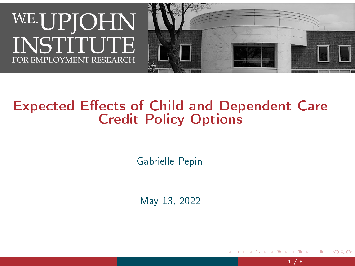

#### **Expected Effects of Child and Dependent Care** Credit Policy Options

Gabrielle Pepin

May 13, 2022

 $1 / 8$ 

つひい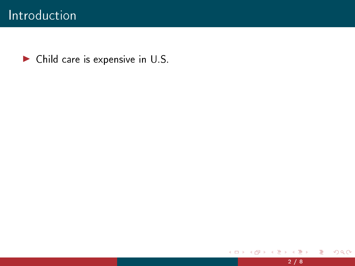▶ Child care is expensive in U.S.

 $\,$ 

 $\mathbf{A} \cdot \mathbf{D} \cdot \mathbf{F} \rightarrow 0$ 

 $\blacktriangleleft$ 

重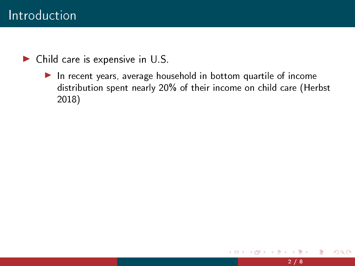$\blacktriangleright$  Child care is expensive in U.S.

▶ In recent years, average household in bottom quartile of income distribution spent nearly 20% of their income on child care (Herbst 2018)

4 0 8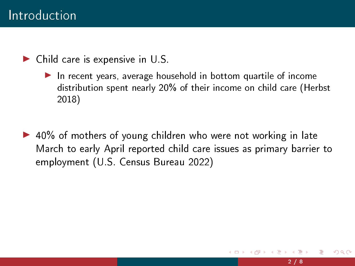$\blacktriangleright$  Child care is expensive in U.S.

- ▶ In recent years, average household in bottom quartile of income distribution spent nearly 20% of their income on child care (Herbst 2018)
- ▶ 40% of mothers of young children who were not working in late March to early April reported child care issues as primary barrier to employment (U.S. Census Bureau 2022)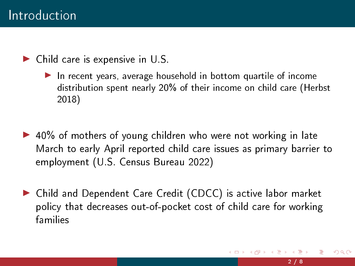$\blacktriangleright$  Child care is expensive in U.S.

- ▶ In recent years, average household in bottom quartile of income distribution spent nearly 20% of their income on child care (Herbst 2018)
- ▶ 40% of mothers of young children who were not working in late March to early April reported child care issues as primary barrier to employment (U.S. Census Bureau 2022)
- ▶ Child and Dependent Care Credit (CDCC) is active labor market policy that decreases out-of-pocket cost of child care for working families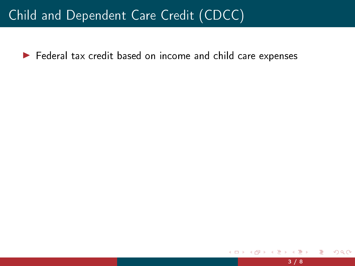▶ Federal tax credit based on income and child care expenses

 $\leftarrow$   $\Box$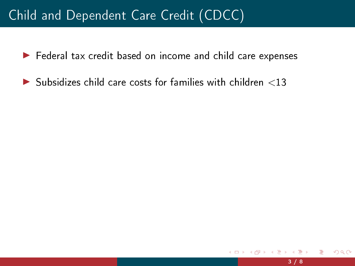- ▶ Federal tax credit based on income and child care expenses
- $\blacktriangleright$  Subsidizes child care costs for families with children  $\langle 13 \rangle$

 $\leftarrow$   $\Box$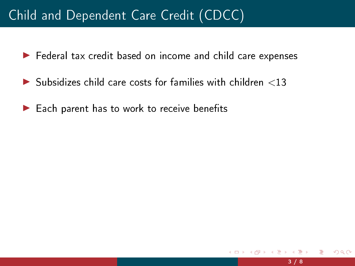- ▶ Federal tax credit based on income and child care expenses
- $\blacktriangleright$  Subsidizes child care costs for families with children  $\langle 13 \rangle$
- $\blacktriangleright$  Each parent has to work to receive benefits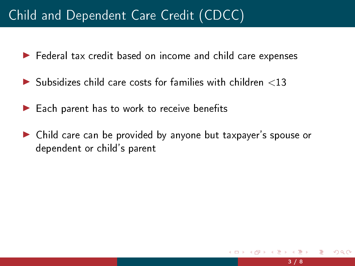- ▶ Federal tax credit based on income and child care expenses
- $\blacktriangleright$  Subsidizes child care costs for families with children  $\langle 13 \rangle$
- $\blacktriangleright$  Each parent has to work to receive benefits
- ▶ Child care can be provided by anyone but taxpayer's spouse or dependent or child's parent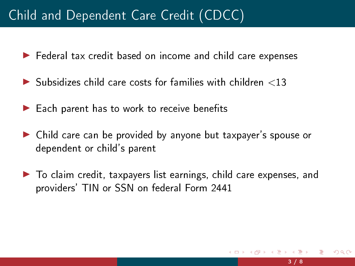- ▶ Federal tax credit based on income and child care expenses
- $\blacktriangleright$  Subsidizes child care costs for families with children  $\langle 13 \rangle$
- $\blacktriangleright$  Each parent has to work to receive benefits
- ▶ Child care can be provided by anyone but taxpayer's spouse or dependent or child's parent
- ▶ To claim credit, taxpayers list earnings, child care expenses, and providers' TIN or SSN on federal Form 2441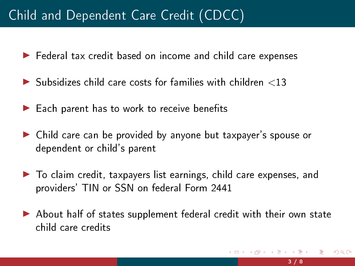- ▶ Federal tax credit based on income and child care expenses
- $\blacktriangleright$  Subsidizes child care costs for families with children  $<$ 13
- $\blacktriangleright$  Each parent has to work to receive benefits
- ▶ Child care can be provided by anyone but taxpayer's spouse or dependent or child's parent
- ▶ To claim credit, taxpayers list earnings, child care expenses, and providers' TIN or SSN on federal Form 2441
- ▶ About half of states supplement federal credit with their own state child care credits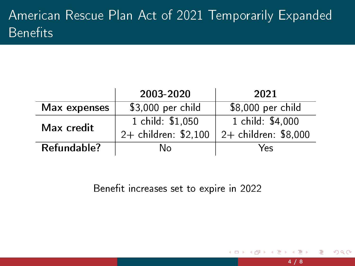# American Rescue Plan Act of 2021 Temporarily Expanded  $\overline{\mathsf{B}}$ enefits

|              | 2003-2020            | 2021                 |
|--------------|----------------------|----------------------|
| Max expenses | \$3,000 per child    | \$8,000 per child    |
| Max credit   | 1 child: \$1,050     | 1 child: \$4,000     |
|              | 2+ children: \$2,100 | 2+ children: \$8,000 |
| Refundable?  | N٥                   | Yes                  |

Benefit increases set to expire in 2022

 $\leftarrow$   $\Box$ 

 $QQ$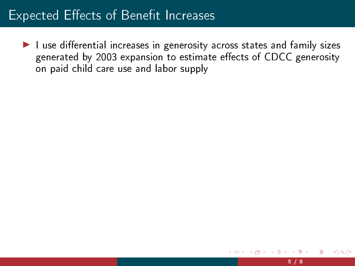$\blacktriangleright$  I use differential increases in generosity across states and family sizes generated by 2003 expansion to estimate effects of CDCC generosity on paid child care use and labor supply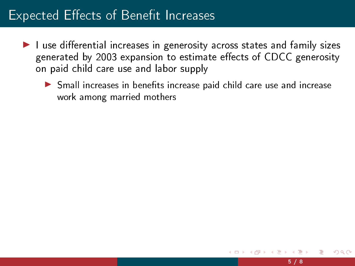- $\blacktriangleright$  I use differential increases in generosity across states and family sizes generated by 2003 expansion to estimate effects of CDCC generosity on paid child care use and labor supply
	- ▶ Small increases in benefits increase paid child care use and increase work among married mothers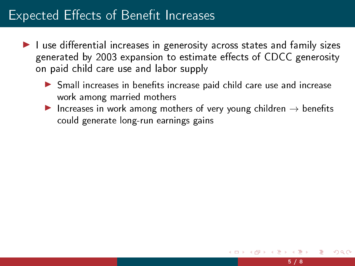- $\blacktriangleright$  I use differential increases in generosity across states and family sizes generated by 2003 expansion to estimate effects of CDCC generosity on paid child care use and labor supply
	- $\triangleright$  Small increases in benefits increase paid child care use and increase work among married mothers
	- ▶ Increases in work among mothers of very young children  $\rightarrow$  benefits could generate long-run earnings gains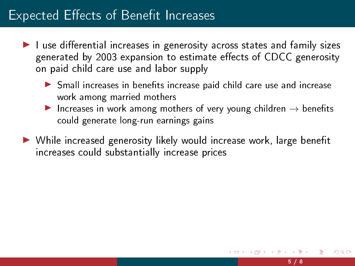- $\blacktriangleright$  I use differential increases in generosity across states and family sizes generated by 2003 expansion to estimate effects of CDCC generosity on paid child care use and labor supply
	- $\blacktriangleright$  Small increases in benefits increase paid child care use and increase work among married mothers
	- ▶ Increases in work among mothers of very young children  $\rightarrow$  benefits could generate long-run earnings gains
- ▶ While increased generosity likely would increase work, large benefit increases could substantially increase prices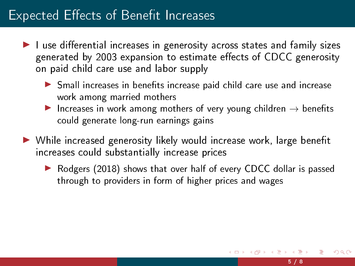- $\blacktriangleright$  I use differential increases in generosity across states and family sizes generated by 2003 expansion to estimate effects of CDCC generosity on paid child care use and labor supply
	- $\blacktriangleright$  Small increases in benefits increase paid child care use and increase work among married mothers
	- ▶ Increases in work among mothers of very young children  $\rightarrow$  benefits could generate long-run earnings gains
- ▶ While increased generosity likely would increase work, large benefit increases could substantially increase prices
	- ▶ Rodgers (2018) shows that over half of every CDCC dollar is passed through to providers in form of higher prices and wages

つへい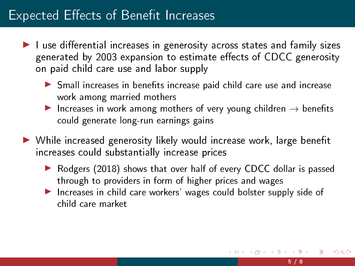- $\blacktriangleright$  I use differential increases in generosity across states and family sizes generated by 2003 expansion to estimate effects of CDCC generosity on paid child care use and labor supply
	- $\blacktriangleright$  Small increases in benefits increase paid child care use and increase work among married mothers
	- ▶ Increases in work among mothers of very young children  $\rightarrow$  benefits could generate long-run earnings gains
- ▶ While increased generosity likely would increase work, large benefit increases could substantially increase prices
	- ▶ Rodgers (2018) shows that over half of every CDCC dollar is passed through to providers in form of higher prices and wages
	- ▶ Increases in child care workers' wages could bolster supply side of child care market

つへい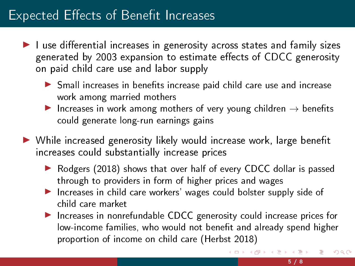- $\blacktriangleright$  I use differential increases in generosity across states and family sizes generated by 2003 expansion to estimate effects of CDCC generosity on paid child care use and labor supply
	- $\triangleright$  Small increases in benefits increase paid child care use and increase work among married mothers
	- ▶ Increases in work among mothers of very young children  $\rightarrow$  benefits could generate long-run earnings gains
- ▶ While increased generosity likely would increase work, large benefit increases could substantially increase prices
	- ▶ Rodgers (2018) shows that over half of every CDCC dollar is passed through to providers in form of higher prices and wages
	- ▶ Increases in child care workers' wages could bolster supply side of child care market
	- ▶ Increases in nonrefundable CDCC generosity could increase prices for low-income families, who would not benefit and already spend higher proportion of income on child care (Herbst 2018)

 $\Omega$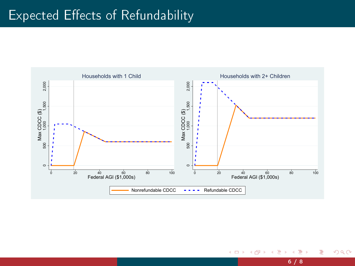

 $\rightarrow$ 

4 0 8 1

 $\left\langle 1\right\rangle$  $\sim$  $\left($ Э×. 重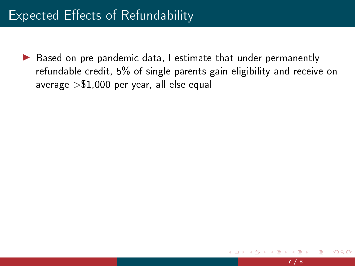▶ Based on pre-pandemic data, I estimate that under permanently refundable credit, 5% of single parents gain eligibility and receive on average  $> $1,000$  per year, all else equal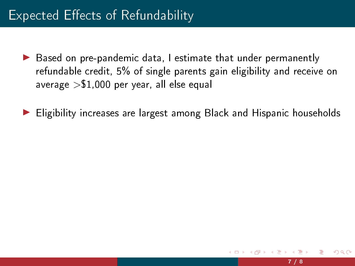- ▶ Based on pre-pandemic data, I estimate that under permanently refundable credit, 5% of single parents gain eligibility and receive on average  $> $1,000$  per year, all else equal
- ▶ Eligibility increases are largest among Black and Hispanic households

つへい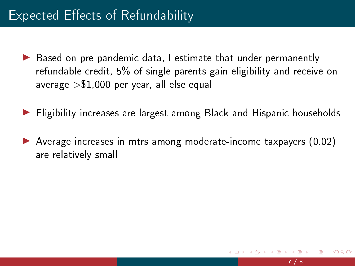- ▶ Based on pre-pandemic data, I estimate that under permanently refundable credit, 5% of single parents gain eligibility and receive on average  $> $1,000$  per year, all else equal
- ▶ Eligibility increases are largest among Black and Hispanic households
- ▶ Average increases in mtrs among moderate-income taxpayers (0.02) are relatively small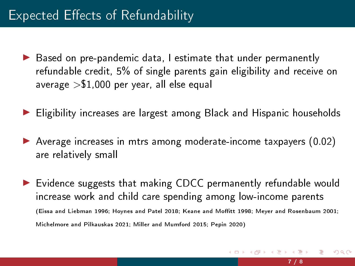- ▶ Based on pre-pandemic data, I estimate that under permanently refundable credit, 5% of single parents gain eligibility and receive on average  $> $1,000$  per year, all else equal
- ▶ Eligibility increases are largest among Black and Hispanic households
- ▶ Average increases in mtrs among moderate-income taxpayers (0.02) are relatively small
- ▶ Evidence suggests that making CDCC permanently refundable would increase work and child care spending among low-income parents (Eissa and Liebman 1996; Hoynes and Patel 2018; Keane and Moffitt 1998; Meyer and Rosenbaum 2001; Michelmore and Pilkauskas 2021; Miller and Mumford 2015; Pepin 2020)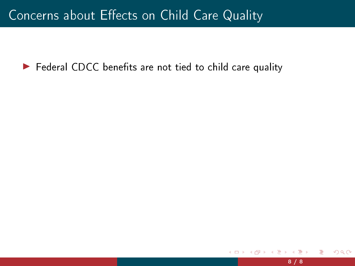#### Concerns about Effects on Child Care Quality

 $\blacktriangleright$  Federal CDCC benefits are not tied to child care quality

 $\leftarrow$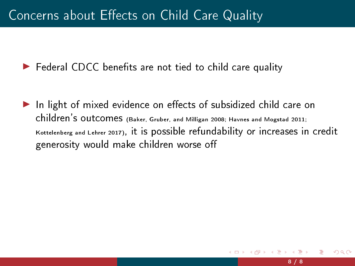$\blacktriangleright$  Federal CDCC benefits are not tied to child care quality

 $\blacktriangleright$  In light of mixed evidence on effects of subsidized child care on children's outcomes (Baker, Gruber, and Milligan 2008; Havnes and Mogstad 2011; Kottelenberg and Lehrer 2017), it is possible refundability or increases in credit generosity would make children worse o